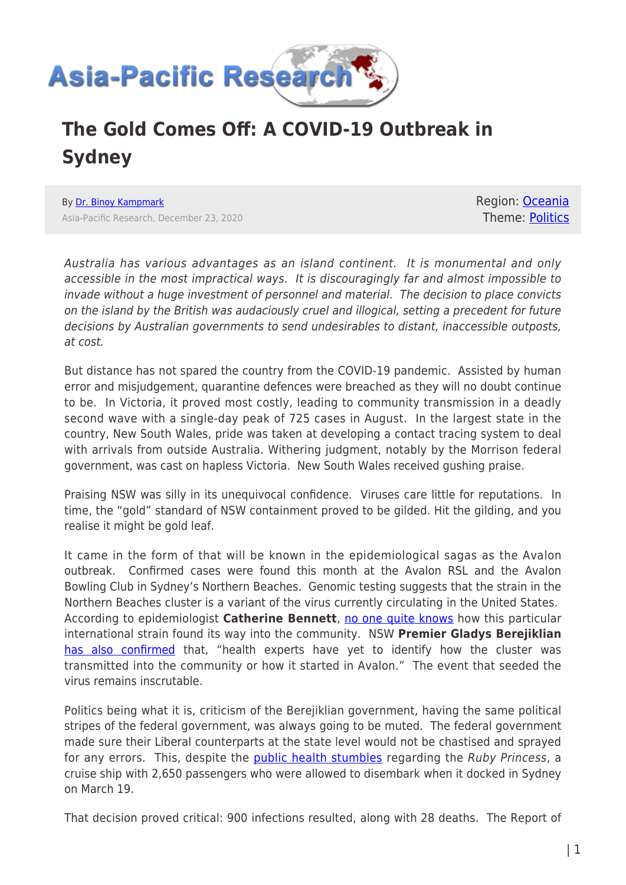

## **The Gold Comes Off: A COVID-19 Outbreak in Sydney**

By [Dr. Binoy Kampmark](https://www.asia-pacificresearch.com/author/binoy-kampmark) Asia-Pacific Research, December 23, 2020 Region: [Oceania](https://www.asia-pacificresearch.com/region/as-oceania) Theme: [Politics](https://www.asia-pacificresearch.com/theme/politics)

Australia has various advantages as an island continent. It is monumental and only accessible in the most impractical ways. It is discouragingly far and almost impossible to invade without a huge investment of personnel and material. The decision to place convicts on the island by the British was audaciously cruel and illogical, setting a precedent for future decisions by Australian governments to send undesirables to distant, inaccessible outposts, at cost.

But distance has not spared the country from the COVID-19 pandemic. Assisted by human error and misjudgement, quarantine defences were breached as they will no doubt continue to be. In Victoria, it proved most costly, leading to community transmission in a deadly second wave with a single-day peak of 725 cases in August. In the largest state in the country, New South Wales, pride was taken at developing a contact tracing system to deal with arrivals from outside Australia. Withering judgment, notably by the Morrison federal government, was cast on hapless Victoria. New South Wales received gushing praise.

Praising NSW was silly in its unequivocal confidence. Viruses care little for reputations. In time, the "gold" standard of NSW containment proved to be gilded. Hit the gilding, and you realise it might be gold leaf.

It came in the form of that will be known in the epidemiological sagas as the Avalon outbreak. Confirmed cases were found this month at the Avalon RSL and the Avalon Bowling Club in Sydney's Northern Beaches. Genomic testing suggests that the strain in the Northern Beaches cluster is a variant of the virus currently circulating in the United States. According to epidemiologist **Catherine Bennett**, [no one quite knows](https://theconversation.com/australia-on-alert-as-sydneys-northern-beaches-covid-cluster-grows-linked-to-us-strain-152310) how this particular international strain found its way into the community. NSW **Premier Gladys Berejiklian** [has also confirmed](https://thenewdaily.com.au/news/2020/12/21/nsw-quarantine-breach-sydney-cluster/) that, "health experts have yet to identify how the cluster was transmitted into the community or how it started in Avalon." The event that seeded the virus remains inscrutable.

Politics being what it is, criticism of the Berejiklian government, having the same political stripes of the federal government, was always going to be muted. The federal government made sure their Liberal counterparts at the state level would not be chastised and sprayed for any errors. This, despite the **public health stumbles** regarding the Ruby Princess, a cruise ship with 2,650 passengers who were allowed to disembark when it docked in Sydney on March 19.

That decision proved critical: 900 infections resulted, along with 28 deaths. The Report of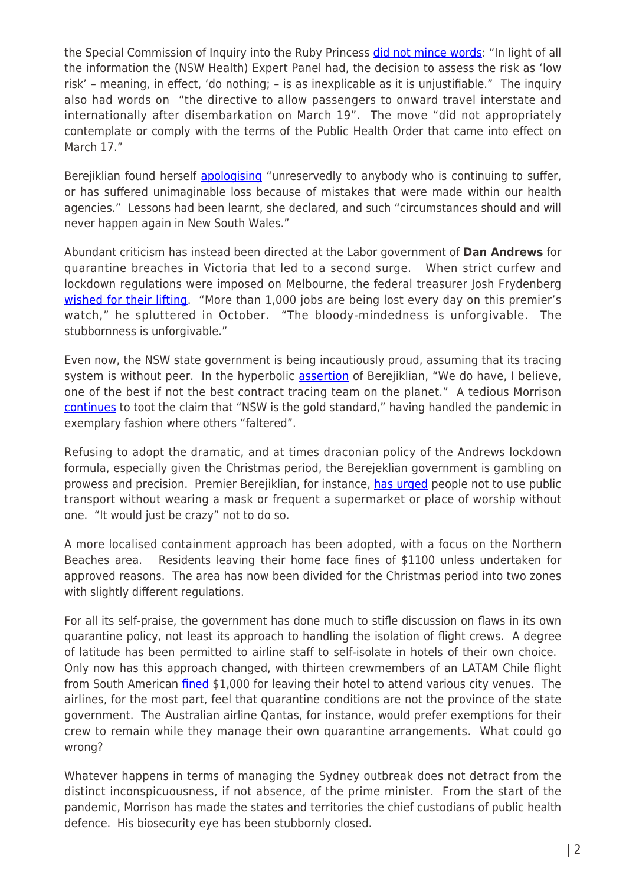the Special Commission of Inquiry into the Ruby Princess [did not mince words:](https://www.dpc.nsw.gov.au/assets/dpc-nsw-gov-au/publications/The-Special-Commission-of-Inquiry-into-the-Ruby-Princess-Listing-1628/Report-of-the-Special-Commission-of-Inquiry-into-the-Ruby-Princess.pdf) "In light of all the information the (NSW Health) Expert Panel had, the decision to assess the risk as 'low risk' – meaning, in effect, 'do nothing; – is as inexplicable as it is unjustifiable." The inquiry also had words on "the directive to allow passengers to onward travel interstate and internationally after disembarkation on March 19". The move "did not appropriately contemplate or comply with the terms of the Public Health Order that came into effect on March 17."

Berejiklian found herself [apologising](https://www.abc.net.au/news/2020-08-17/nsw-premier-apologises-unreservedly-over-ruby-princess-handling/12564830) "unreservedly to anybody who is continuing to suffer, or has suffered unimaginable loss because of mistakes that were made within our health agencies." Lessons had been learnt, she declared, and such "circumstances should and will never happen again in New South Wales."

Abundant criticism has instead been directed at the Labor government of **Dan Andrews** for quarantine breaches in Victoria that led to a second surge. When strict curfew and lockdown regulations were imposed on Melbourne, the federal treasurer Josh Frydenberg [wished for their lifting](https://www.sbs.com.au/news/all-about-the-politics-daniel-andrews-hits-back-at-josh-frydenberg-over-victoria-s-coronavirus-roadmap). "More than 1,000 jobs are being lost every day on this premier's watch," he spluttered in October. "The bloody-mindedness is unforgivable. The stubbornness is unforgivable."

Even now, the NSW state government is being incautiously proud, assuming that its tracing system is without peer. In the hyperbolic [assertion](https://thenewdaily.com.au/news/2020/12/22/paul-bongiorno-scott-morrison-quarantine/) of Berejiklian, "We do have, I believe, one of the best if not the best contract tracing team on the planet." A tedious Morrison [continues](https://twitter.com/Qldaah/status/1339386335228882946) to toot the claim that "NSW is the gold standard," having handled the pandemic in exemplary fashion where others "faltered".

Refusing to adopt the dramatic, and at times draconian policy of the Andrews lockdown formula, especially given the Christmas period, the Berejeklian government is gambling on prowess and precision. Premier Berejiklian, for instance, [has urged](https://www.abc.net.au/news/2020-12-18/nsw-coronavirus-ten-new-cases-bringing-total-to-28/12996622) people not to use public transport without wearing a mask or frequent a supermarket or place of worship without one. "It would just be crazy" not to do so.

A more localised containment approach has been adopted, with a focus on the Northern Beaches area. Residents leaving their home face fines of \$1100 unless undertaken for approved reasons. The area has now been divided for the Christmas period into two zones with slightly different regulations.

For all its self-praise, the government has done much to stifle discussion on flaws in its own quarantine policy, not least its approach to handling the isolation of flight crews. A degree of latitude has been permitted to airline staff to self-isolate in hotels of their own choice. Only now has this approach changed, with thirteen crewmembers of an LATAM Chile flight from South American *fined* \$1,000 for leaving their hotel to attend various city venues. The airlines, for the most part, feel that quarantine conditions are not the province of the state government. The Australian airline Qantas, for instance, would prefer exemptions for their crew to remain while they manage their own quarantine arrangements. What could go wrong?

Whatever happens in terms of managing the Sydney outbreak does not detract from the distinct inconspicuousness, if not absence, of the prime minister. From the start of the pandemic, Morrison has made the states and territories the chief custodians of public health defence. His biosecurity eye has been stubbornly closed.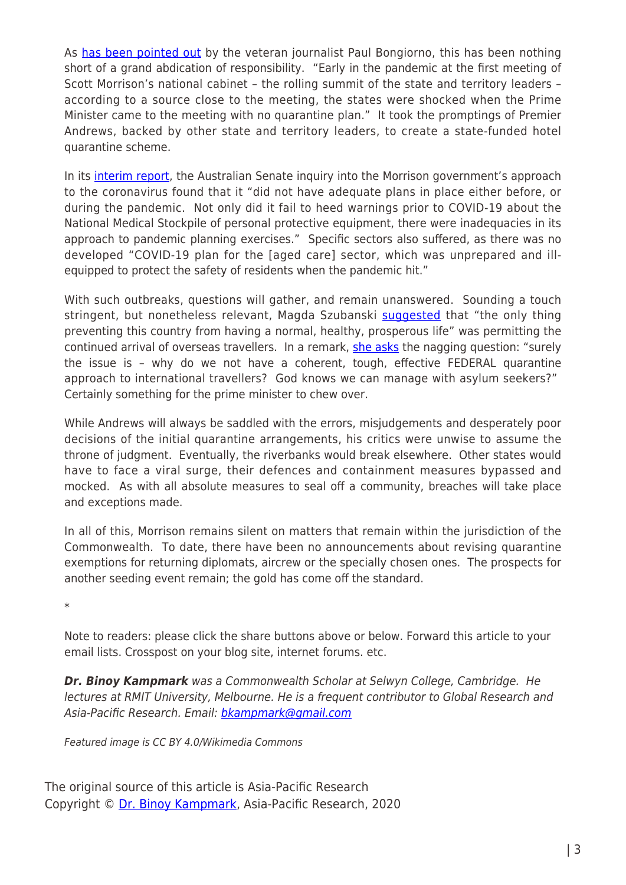As [has been pointed out](https://thenewdaily.com.au/news/2020/12/22/paul-bongiorno-scott-morrison-quarantine/) by the veteran journalist Paul Bongiorno, this has been nothing short of a grand abdication of responsibility. "Early in the pandemic at the first meeting of Scott Morrison's national cabinet – the rolling summit of the state and territory leaders – according to a source close to the meeting, the states were shocked when the Prime Minister came to the meeting with no quarantine plan." It took the promptings of Premier Andrews, backed by other state and territory leaders, to create a state-funded hotel quarantine scheme.

In its *[interim report](https://www.aph.gov.au/Parliamentary_Business/Committees/Senate/COVID-19/COVID19/Interim_Report)*, the Australian Senate inquiry into the Morrison government's approach to the coronavirus found that it "did not have adequate plans in place either before, or during the pandemic. Not only did it fail to heed warnings prior to COVID-19 about the National Medical Stockpile of personal protective equipment, there were inadequacies in its approach to pandemic planning exercises." Specific sectors also suffered, as there was no developed "COVID-19 plan for the [aged care] sector, which was unprepared and illequipped to protect the safety of residents when the pandemic hit."

With such outbreaks, questions will gather, and remain unanswered. Sounding a touch stringent, but nonetheless relevant, Magda Szubanski [suggested](https://twitter.com/MagdaSzubanski/status/1341142890370756614) that "the only thing preventing this country from having a normal, healthy, prosperous life" was permitting the continued arrival of overseas travellers. In a remark, [she asks](https://twitter.com/MagdaSzubanski/status/1341141804721217536) the nagging question: "surely the issue is – why do we not have a coherent, tough, effective FEDERAL quarantine approach to international travellers? God knows we can manage with asylum seekers?" Certainly something for the prime minister to chew over.

While Andrews will always be saddled with the errors, misjudgements and desperately poor decisions of the initial quarantine arrangements, his critics were unwise to assume the throne of judgment. Eventually, the riverbanks would break elsewhere. Other states would have to face a viral surge, their defences and containment measures bypassed and mocked. As with all absolute measures to seal off a community, breaches will take place and exceptions made.

In all of this, Morrison remains silent on matters that remain within the jurisdiction of the Commonwealth. To date, there have been no announcements about revising quarantine exemptions for returning diplomats, aircrew or the specially chosen ones. The prospects for another seeding event remain; the gold has come off the standard.

\*

Note to readers: please click the share buttons above or below. Forward this article to your email lists. Crosspost on your blog site, internet forums. etc.

*Dr. Binoy Kampmark* was a Commonwealth Scholar at Selwyn College, Cambridge. He lectures at RMIT University, Melbourne. He is a frequent contributor to Global Research and Asia-Pacific Research. Email: [bkampmark@gmail.com](mailto:bkampmark@gmail.com)

Featured image is CC BY 4.0/Wikimedia Commons

The original source of this article is Asia-Pacific Research Copyright © [Dr. Binoy Kampmark](https://www.asia-pacificresearch.com/author/binoy-kampmark), Asia-Pacific Research, 2020